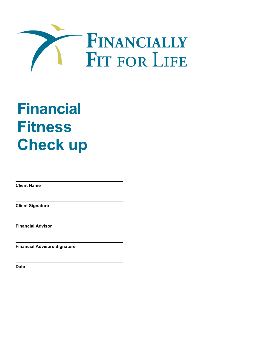

# **Financial Fitness Check up**

**Client Name** 

**Client Signature** 

**Financial Advisor** 

**Financial Advisors Signature** 

**Date**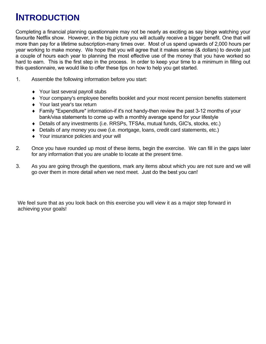#### **INTRODUCTION**

Completing a financial planning questionnaire may not be nearly as exciting as say binge watching your favourite Netflix show. However, in the big picture you will actually receive a bigger benefit. One that will more than pay for a lifetime subscription-many times over. Most of us spend upwards of 2,000 hours per year working to make money. We hope that you will agree that it makes sense (& dollars) to devote just a couple of hours each year to planning the most effective use of the money that you have worked so hard to earn. This is the first step in the process. In order to keep your time to a minimum in filling out this questionnaire, we would like to offer these tips on how to help you get started.

- 1. Assemble the following information before you start:
	- ♦ Your last several payroll stubs
	- ♦ Your company's employee benefits booklet and your most recent pension benefits statement
	- ♦ Your last year's tax return
	- ♦ Family "Expenditure" information-if it's not handy-then review the past 3-12 months of your bank/visa statements to come up with a monthly average spend for your lifestyle
	- ♦ Details of any investments (i.e. RRSPs, TFSAs, mutual funds, GIC's, stocks, etc.)
	- ♦ Details of any money you owe (i.e. mortgage, loans, credit card statements, etc.)
	- ♦ Your insurance policies and your will
- 2. Once you have rounded up most of these items, begin the exercise. We can fill in the gaps later for any information that you are unable to locate at the present time.
- 3. As you are going through the questions, mark any items about which you are not sure and we will go over them in more detail when we next meet. Just do the best you can!

We feel sure that as you look back on this exercise you will view it as a major step forward in achieving your goals!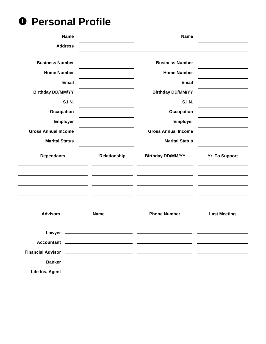**0 Personal Profile** 

| <b>Name</b>                                                                                                     |              | <b>Name</b>                |                       |
|-----------------------------------------------------------------------------------------------------------------|--------------|----------------------------|-----------------------|
| <b>Address</b>                                                                                                  |              |                            |                       |
| <b>Business Number</b>                                                                                          |              | <b>Business Number</b>     |                       |
| <b>Home Number</b>                                                                                              |              | <b>Home Number</b>         |                       |
| <b>Email</b>                                                                                                    |              | <b>Email</b>               |                       |
| <b>Birthday DD/MM/YY</b>                                                                                        |              | <b>Birthday DD/MM/YY</b>   |                       |
| <b>S.I.N.</b>                                                                                                   |              | <b>S.I.N.</b>              |                       |
| <b>Occupation</b>                                                                                               |              | Occupation                 |                       |
| <b>Employer</b>                                                                                                 |              | <b>Employer</b>            |                       |
| <b>Gross Annual Income</b>                                                                                      |              | <b>Gross Annual Income</b> |                       |
| <b>Marital Status</b>                                                                                           |              | <b>Marital Status</b>      |                       |
| <b>Dependants</b>                                                                                               | Relationship | <b>Birthday DD/MM/YY</b>   | <b>Yr. To Support</b> |
|                                                                                                                 |              |                            |                       |
| <b>Advisors</b>                                                                                                 | <b>Name</b>  | <b>Phone Number</b>        | <b>Last Meeting</b>   |
| Financial Advisor (2002) 2003 - 2004 - 2010 2011 2012 2014 2015 2016 2017 2018 2019 2019 2019 2011 2012 2013 20 |              |                            |                       |
|                                                                                                                 |              |                            |                       |
|                                                                                                                 |              |                            |                       |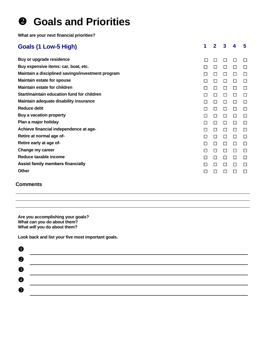#### **<sup>8</sup>** Goals and Priorities

**What are your next financial priorities?** 

| <b>Goals (1 Low-5 High)</b>                       | 1      | $\overline{2}$ | $\mathbf{3}$ | 4 | 5      |
|---------------------------------------------------|--------|----------------|--------------|---|--------|
| Buy or upgrade residence                          | П      | □              | □            | □ | $\Box$ |
| Buy expensive items: car, boat, etc.              | □      | □              | □            | □ | $\Box$ |
| Maintain a disciplined savings/investment program | □      | □              | □            | □ | П      |
| <b>Maintain estate for spouse</b>                 | □      | □              | □            | □ | $\Box$ |
| <b>Maintain estate for children</b>               | $\Box$ | □              | $\Box$       | □ | □      |
| Start/maintain education fund for children        | П      | □              | П            | □ | П      |
| Maintain adequate disability insurance            | П      | □              | $\Box$       | □ | $\Box$ |
| Reduce debt                                       | □      | □              | □            | □ | □      |
| Buy a vacation property                           | П      | □              | □            | □ | □      |
| Plan a major holiday                              | П      | □              | □            | □ | □      |
| Achieve financial independence at age-            | П      | $\Box$         | $\Box$       | □ | $\Box$ |
| Retire at normal age of-                          | П      | $\Box$         | □            | □ | □      |
| Retire early at age of-                           | $\Box$ | □              | □            | □ | □      |
| Change my career                                  | □      | □              | □            | □ | □      |
| Reduce taxable income                             | П      | □              | □            | □ | □      |
| <b>Assist family members financially</b>          | $\Box$ | $\Box$         | П            | □ | □      |
| Other                                             | $\Box$ | □              | П            | □ | П      |

#### **Comments**

**Are you accomplishing your goals? What** *can* **you do about them? What** *will* **you do about them?** 

**Look back and list your five most important goals.** 

| $\bullet$        |  |
|------------------|--|
| $\boldsymbol{Q}$ |  |
| ❸                |  |
| $\bullet$        |  |
| $\bullet$        |  |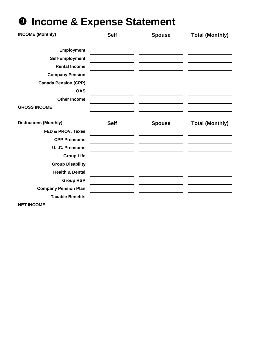# **<sup>8</sup>** Income & Expense Statement

| <b>INCOME (Monthly)</b>      | <b>Self</b> | <b>Spouse</b> | <b>Total (Monthly)</b> |
|------------------------------|-------------|---------------|------------------------|
| <b>Employment</b>            |             |               |                        |
| Self-Employment              |             |               |                        |
| <b>Rental Income</b>         |             |               |                        |
| <b>Company Pension</b>       |             |               |                        |
| <b>Canada Pension (CPP)</b>  |             |               |                        |
| <b>OAS</b>                   |             |               |                        |
| <b>Other Income</b>          |             |               |                        |
| <b>GROSS INCOME</b>          |             |               |                        |
|                              |             |               |                        |
| <b>Deductions (Monthly)</b>  | <b>Self</b> | <b>Spouse</b> | <b>Total (Monthly)</b> |
| <b>FED &amp; PROV. Taxes</b> |             |               |                        |
| <b>CPP Premiums</b>          |             |               |                        |
| <b>U.I.C. Premiums</b>       |             |               |                        |
| <b>Group Life</b>            |             |               |                        |
| <b>Group Disability</b>      |             |               |                        |
| <b>Health &amp; Dental</b>   |             |               |                        |
| <b>Group RSP</b>             |             |               |                        |
| <b>Company Pension Plan</b>  |             |               |                        |
| <b>Taxable Benefits</b>      |             |               |                        |
| <b>NET INCOME</b>            |             |               |                        |
|                              |             |               |                        |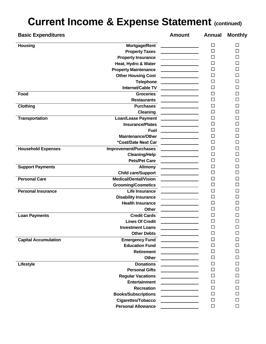## **Current Income & Expense Statement (continued)**

| <b>Basic Expenditures</b>   |                              | <b>Amount</b>                                                                                                                                                                                                                        | <b>Annual</b> | <b>Monthly</b> |
|-----------------------------|------------------------------|--------------------------------------------------------------------------------------------------------------------------------------------------------------------------------------------------------------------------------------|---------------|----------------|
| <b>Housing</b>              | Mortgage/Rent                |                                                                                                                                                                                                                                      | □             | ΙI             |
|                             | <b>Property Taxes</b>        |                                                                                                                                                                                                                                      | $\Box$        | П              |
|                             | <b>Property Insurance</b>    |                                                                                                                                                                                                                                      | $\Box$        | □              |
|                             | Heat, Hydro & Water          |                                                                                                                                                                                                                                      | □             | □              |
|                             | <b>Property Maintenance</b>  | <u> 1999 - Jan Stein Stein Stein Stein Stein Stein Stein Stein Stein Stein Stein Stein Stein Stein Stein Stein S</u>                                                                                                                 | $\Box$        | □              |
|                             | <b>Other Housing Cost</b>    |                                                                                                                                                                                                                                      | $\Box$        | $\Box$         |
|                             | <b>Telephone</b>             |                                                                                                                                                                                                                                      | □             | П              |
|                             | Internet/Cable TV            |                                                                                                                                                                                                                                      | $\Box$        | П              |
| Food                        | <b>Groceries</b>             |                                                                                                                                                                                                                                      | $\Box$        | □              |
|                             | <b>Restaurants</b>           |                                                                                                                                                                                                                                      | $\Box$        | □              |
| <b>Clothing</b>             | <b>Purchases</b>             |                                                                                                                                                                                                                                      | $\Box$        | П              |
|                             | Cleaning                     |                                                                                                                                                                                                                                      | $\Box$        | ⊓              |
| <b>Transportation</b>       | <b>Loan/Lease Payment</b>    |                                                                                                                                                                                                                                      | □             | П              |
|                             | <b>Insurance/Plates</b>      |                                                                                                                                                                                                                                      | $\Box$        | П              |
|                             | <b>Fuel</b>                  |                                                                                                                                                                                                                                      | $\Box$        | □              |
|                             | <b>Maintenance/Other</b>     |                                                                                                                                                                                                                                      | □             | □              |
|                             | *Cost/Date Next Car          |                                                                                                                                                                                                                                      | $\Box$        | □              |
| <b>Household Expenses</b>   | Improvement/Purchases        |                                                                                                                                                                                                                                      | $\Box$        | □              |
|                             | <b>Cleaning/Help</b>         |                                                                                                                                                                                                                                      | $\Box$        | □              |
|                             | <b>Pets/Pet Care</b>         |                                                                                                                                                                                                                                      | □             | П              |
| <b>Support Payments</b>     | <b>Alimony</b>               | and the control of the control of                                                                                                                                                                                                    | $\Box$        | □              |
|                             | <b>Child care/Support</b>    |                                                                                                                                                                                                                                      | $\Box$        | □              |
| <b>Personal Care</b>        | <b>Medical/Dental/Vision</b> |                                                                                                                                                                                                                                      | □             | □              |
|                             | <b>Grooming/Cosmetics</b>    |                                                                                                                                                                                                                                      | □             | П              |
| <b>Personal Insurance</b>   | Life Insurance               |                                                                                                                                                                                                                                      | □             | □              |
|                             | <b>Disability Insurance</b>  |                                                                                                                                                                                                                                      | $\Box$        | □              |
|                             | <b>Health Insurance</b>      |                                                                                                                                                                                                                                      | □             | П              |
|                             | <b>Other</b>                 |                                                                                                                                                                                                                                      | □             | П              |
| <b>Loan Payments</b>        | <b>Credit Cards</b>          |                                                                                                                                                                                                                                      | $\Box$        | □              |
|                             | <b>Lines Of Credit</b>       |                                                                                                                                                                                                                                      | $\Box$        | □              |
|                             | <b>Investment Loans</b>      |                                                                                                                                                                                                                                      | $\Box$        | $\Box$         |
|                             | <b>Other Debts</b>           | <u> 1989 - Jan Stein Stein Stein Stein Stein Stein Stein Stein Stein Stein Stein Stein Stein Stein Stein Stein Stein Stein Stein Stein Stein Stein Stein Stein Stein Stein Stein Stein Stein Stein Stein Stein Stein Stein Stein</u> | □             | □              |
| <b>Capital Accumulation</b> | <b>Emergency Fund</b>        |                                                                                                                                                                                                                                      | □             | $\Box$         |
|                             | <b>Education Fund</b>        |                                                                                                                                                                                                                                      | $\Box$        | □              |
|                             | <b>Retirement</b>            |                                                                                                                                                                                                                                      | $\Box$        | □              |
|                             | Other                        |                                                                                                                                                                                                                                      | $\Box$        | □              |
| Lifestyle                   | <b>Donations</b>             |                                                                                                                                                                                                                                      | $\Box$        | □              |
|                             | <b>Personal Gifts</b>        | <u> 1989 - Jan Stein Stein Stein Stein Stein Stein Stein Stein Stein Stein Stein Stein Stein Stein Stein Stein S</u>                                                                                                                 | $\Box$        | п              |
|                             | <b>Regular Vacations</b>     |                                                                                                                                                                                                                                      | □             | □              |
|                             | Entertainment                |                                                                                                                                                                                                                                      | $\Box$        | □              |
|                             | <b>Recreation</b>            |                                                                                                                                                                                                                                      | $\Box$        | п              |
|                             | <b>Books/Subscriptions</b>   |                                                                                                                                                                                                                                      | $\Box$        | □              |
|                             | <b>Cigarettes/Tobacco</b>    |                                                                                                                                                                                                                                      | $\Box$        | □              |
|                             | <b>Personal Allowance</b>    | <u> 1990 - Jan James Barnett, politik e</u> ta eta p                                                                                                                                                                                 | $\Box$        | $\Box$         |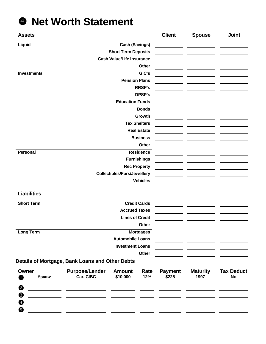#### **<sup>** $\bullet$ **</sup>** Net Worth Statement

| <b>Assets</b>               |                                                 |                                    |                     | <b>Client</b>           | <b>Spouse</b>           | <b>Joint</b>                   |
|-----------------------------|-------------------------------------------------|------------------------------------|---------------------|-------------------------|-------------------------|--------------------------------|
| Liquid                      |                                                 | <b>Cash (Savings)</b>              |                     |                         |                         |                                |
|                             |                                                 | <b>Short Term Deposits</b>         |                     |                         |                         |                                |
|                             |                                                 | <b>Cash Value/Life Insurance</b>   |                     |                         |                         |                                |
|                             |                                                 |                                    | Other               |                         |                         |                                |
| <b>Investments</b>          |                                                 |                                    | GIC's               |                         |                         |                                |
|                             |                                                 | <b>Pension Plans</b>               |                     |                         |                         |                                |
|                             |                                                 |                                    | <b>RRSP's</b>       |                         |                         |                                |
|                             |                                                 |                                    | DPSP's              |                         |                         |                                |
|                             |                                                 | <b>Education Funds</b>             |                     |                         |                         |                                |
|                             |                                                 |                                    | <b>Bonds</b>        |                         |                         |                                |
|                             |                                                 |                                    | Growth              |                         |                         |                                |
|                             |                                                 |                                    | <b>Tax Shelters</b> |                         |                         |                                |
|                             |                                                 |                                    | <b>Real Estate</b>  |                         |                         |                                |
|                             |                                                 |                                    | <b>Business</b>     |                         |                         |                                |
|                             |                                                 |                                    | Other               |                         |                         |                                |
| Personal                    |                                                 |                                    | <b>Residence</b>    |                         |                         |                                |
|                             |                                                 |                                    | <b>Furnishings</b>  |                         |                         |                                |
|                             |                                                 |                                    | <b>Rec Property</b> |                         |                         |                                |
|                             |                                                 | <b>Collectibles/Furs/Jewellery</b> |                     |                         |                         |                                |
|                             |                                                 |                                    | <b>Vehicles</b>     |                         |                         |                                |
| <b>Liabilities</b>          |                                                 |                                    |                     |                         |                         |                                |
| <b>Short Term</b>           |                                                 |                                    | <b>Credit Cards</b> |                         |                         |                                |
|                             |                                                 | <b>Accrued Taxes</b>               |                     |                         |                         |                                |
|                             |                                                 | <b>Lines of Credit</b>             |                     |                         |                         |                                |
|                             |                                                 |                                    | Other               |                         |                         |                                |
| <b>Long Term</b>            |                                                 |                                    | <b>Mortgages</b>    |                         |                         |                                |
|                             |                                                 | <b>Automobile Loans</b>            |                     |                         |                         |                                |
|                             |                                                 | <b>Investment Loans</b>            |                     |                         |                         |                                |
|                             |                                                 |                                    | Other               |                         |                         |                                |
|                             | Details of Mortgage, Bank Loans and Other Debts |                                    |                     |                         |                         |                                |
| Owner<br><b>Spouse</b><br>O | <b>Purpose/Lender</b><br>Car, CIBC              | <b>Amount</b><br>\$10,000          | Rate<br>12%         | <b>Payment</b><br>\$225 | <b>Maturity</b><br>1997 | <b>Tax Deduct</b><br><b>No</b> |
| ❷                           |                                                 |                                    |                     |                         |                         |                                |
| ❸                           |                                                 |                                    |                     |                         |                         |                                |
| 0                           |                                                 |                                    |                     |                         |                         |                                |
|                             |                                                 |                                    |                     |                         |                         |                                |
| ❺                           |                                                 |                                    |                     |                         |                         |                                |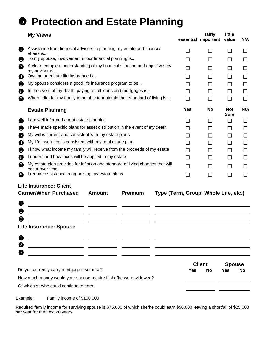## \ **Protection and Estate Planning**

|    | <b>My Views</b>                                                                                   |               |         |                                      | fairly<br>essential important | little<br>value           | N/A          |
|----|---------------------------------------------------------------------------------------------------|---------------|---------|--------------------------------------|-------------------------------|---------------------------|--------------|
| 85 | Assistance from financial advisors in planning my estate and financial<br>affairs is              |               |         | П                                    | П                             | $\mathsf{L}$              | $\mathsf{L}$ |
| 2  | To my spouse, involvement in our financial planning is                                            |               |         | $\Box$                               | $\Box$                        | П                         | $\Box$       |
| ❸  | A clear, complete understanding of my financial situation and objectives by<br>my advisor is      |               |         | П                                    | П                             | $\Box$                    | П            |
| Ø  | Owning adequate life insurance is                                                                 |               |         | ΙI                                   | П                             | ΙI                        | П            |
| ❺  | My spouse considers a good life insurance program to be                                           |               |         | $\blacksquare$                       | ΙI                            | $\Box$                    | $\Box$       |
| 6  | In the event of my death, paying off all loans and mortgages is                                   |               |         | П                                    | П                             |                           | П            |
| 0  | When I die, for my family to be able to maintain their standard of living is                      |               |         | П                                    | П                             | ΙI                        | П            |
|    | <b>Estate Planning</b>                                                                            |               |         | <b>Yes</b>                           | No                            | <b>Not</b><br><b>Sure</b> | N/A          |
| O  | I am well informed about estate planning                                                          |               |         | П                                    | П                             | $\Box$                    | П            |
| 2  | I have made specific plans for asset distribution in the event of my death                        |               |         | П                                    | П                             | $\Box$                    | □            |
| ❸  | My will is current and consistent with my estate plans                                            |               |         | П                                    | П                             | ΙI                        | □            |
| O  | My life insurance is consistent with my total estate plan                                         |               |         | H                                    | ΙI                            | ΙI                        | $\Box$       |
| 6  | I know what income my family will receive from the proceeds of my estate                          |               |         | П                                    | ΙI                            | $\mathsf{L}$              | □            |
| 6  | I understand how taxes will be applied to my estate                                               |               |         | ΙI                                   | ΙI                            | ΙI                        | П            |
| 2  | My estate plan provides for inflation and standard of living changes that will<br>occur over time |               |         | П                                    | П                             | $\mathsf{L}$              | П            |
| 69 | I require assistance in organising my estate plans                                                |               |         | П                                    | П                             | $\Box$                    | П            |
|    | <b>Life Insurance: Client</b>                                                                     |               |         |                                      |                               |                           |              |
|    | <b>Carrier/When Purchased</b>                                                                     | <b>Amount</b> | Premium | Type (Term, Group, Whole Life, etc.) |                               |                           |              |
| U  |                                                                                                   |               |         |                                      |                               |                           |              |
| 2  |                                                                                                   |               |         |                                      |                               |                           |              |
| 3  |                                                                                                   |               |         |                                      |                               |                           |              |
|    | <b>Life Insurance: Spouse</b>                                                                     |               |         |                                      |                               |                           |              |
|    |                                                                                                   |               |         |                                      |                               |                           |              |
|    |                                                                                                   |               |         |                                      |                               |                           |              |
| 3  |                                                                                                   |               |         |                                      |                               |                           |              |

|                                                                  | <b>Client</b> |    | <b>Spouse</b> |    |
|------------------------------------------------------------------|---------------|----|---------------|----|
| Do you currently carry mortgage insurance?                       | Yes           | No | Yes           | No |
| How much money would your spouse require if she/he were widowed? |               |    |               |    |
| Of which she/he could continue to earn:                          |               |    |               |    |

Example: Family income of \$100,000

Required family income for surviving spouse is \$75,000 of which she/he could earn \$50,000 leaving a shortfall of \$25,000 per year for the next 20 years.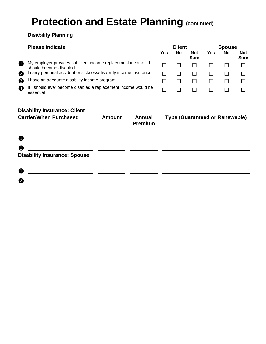### **Protection and Estate Planning (continued)**

#### **Disability Planning**

#### **Please indicate**

|   |                                                                                          |  | sure         |              | ้อนเ |
|---|------------------------------------------------------------------------------------------|--|--------------|--------------|------|
| O | My employer provides sufficient income replacement income if I<br>should become disabled |  |              | $\mathbf{1}$ |      |
| ❷ | I carry personal accident or sickness/disability income insurance                        |  | $\mathbf{1}$ |              |      |
|   | I have an adequate disability income program                                             |  | $\mathbf{1}$ | $\mathbf{1}$ |      |
|   | If I should ever become disabled a replacement income would be<br>احندمممم               |  |              |              |      |

| <b>Please indicate</b>                                                                   |     | <b>Client</b> |                           |     | <b>Spouse</b> |                           |
|------------------------------------------------------------------------------------------|-----|---------------|---------------------------|-----|---------------|---------------------------|
|                                                                                          | Yes | No            | <b>Not</b><br><b>Sure</b> | Yes | <b>No</b>     | <b>Not</b><br><b>Sure</b> |
| My employer provides sufficient income replacement income if I<br>should become disabled |     |               |                           |     |               |                           |
| I carry personal accident or sickness/disability income insurance                        |     |               |                           |     |               |                           |
| I have an adequate disability income program                                             |     |               |                           |     |               |                           |
| If I should ever become disabled a replacement income would be<br>essential              |     |               |                           |     |               |                           |

#### **Disability Insurance: Client**

| <b>Carrier/When Purchased</b>       | <b>Amount</b> | <b>Annual</b><br><b>Premium</b> | <b>Type (Guaranteed or Renewable)</b> |
|-------------------------------------|---------------|---------------------------------|---------------------------------------|
| $\mathbf 0$                         |               |                                 |                                       |
| $\boldsymbol{Q}$                    |               |                                 |                                       |
| <b>Disability Insurance: Spouse</b> |               |                                 |                                       |
| $\mathbf 0$                         |               |                                 |                                       |
| 2                                   |               |                                 |                                       |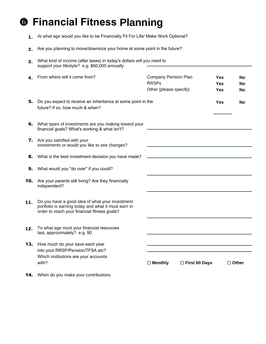### ] **Financial Fitness Planning**

- 1. At what age would you like to be Financially Fit For Life/ Make Work Optional?
- 2. Are you planning to move/downsize your home at some point in the future?

| 3.  | What kind of income (after taxes) in today's dollars will you need to<br>support your lifestyle? e.g. \$60,000 annually                                |                                                                       |                      |                                        |                 |                |
|-----|--------------------------------------------------------------------------------------------------------------------------------------------------------|-----------------------------------------------------------------------|----------------------|----------------------------------------|-----------------|----------------|
| 4.  | From where will it come from?                                                                                                                          | <b>Company Pension Plan</b><br><b>RRSPs</b><br>Other (please specify) |                      | <b>Yes</b><br><b>Yes</b><br><b>Yes</b> |                 | No<br>No<br>No |
| 5.  | Do you expect to receive an inheritance at some point in the<br>future? If so, how much & when?                                                        |                                                                       |                      | <b>Yes</b>                             |                 | No             |
| 6.  | What types of investments are you making toward your<br>financial goals? What's working & what isn't?                                                  |                                                                       |                      |                                        |                 |                |
| 7.  | Are you satisfied with your<br>investments or would you like to see changes?                                                                           |                                                                       |                      |                                        |                 |                |
| 8.  | What is the best investment decision you have made?                                                                                                    |                                                                       |                      |                                        |                 |                |
| 9.  | What would you "do over" if you could?                                                                                                                 |                                                                       |                      |                                        |                 |                |
| 10. | Are your parents still living? Are they financially<br>independent?                                                                                    |                                                                       |                      |                                        |                 |                |
| 11. | Do you have a good idea of what your investment<br>portfolio is earning today and what it must earn in<br>order to reach your financial fitness goals? |                                                                       |                      |                                        |                 |                |
| 12. | To what age must your financial resources<br>last, approximately? e.g. 90                                                                              |                                                                       |                      |                                        |                 |                |
| 13. | How much do your save each year                                                                                                                        |                                                                       |                      |                                        |                 |                |
|     | into your RRSP/Pension/TFSA etc?<br>Which institutions are your accounts<br>with?                                                                      | $\Box$ Monthly                                                        | $\Box$ First 60 Days |                                        | $\square$ Other |                |
| 14. | When do you make your contributions                                                                                                                    |                                                                       |                      |                                        |                 |                |